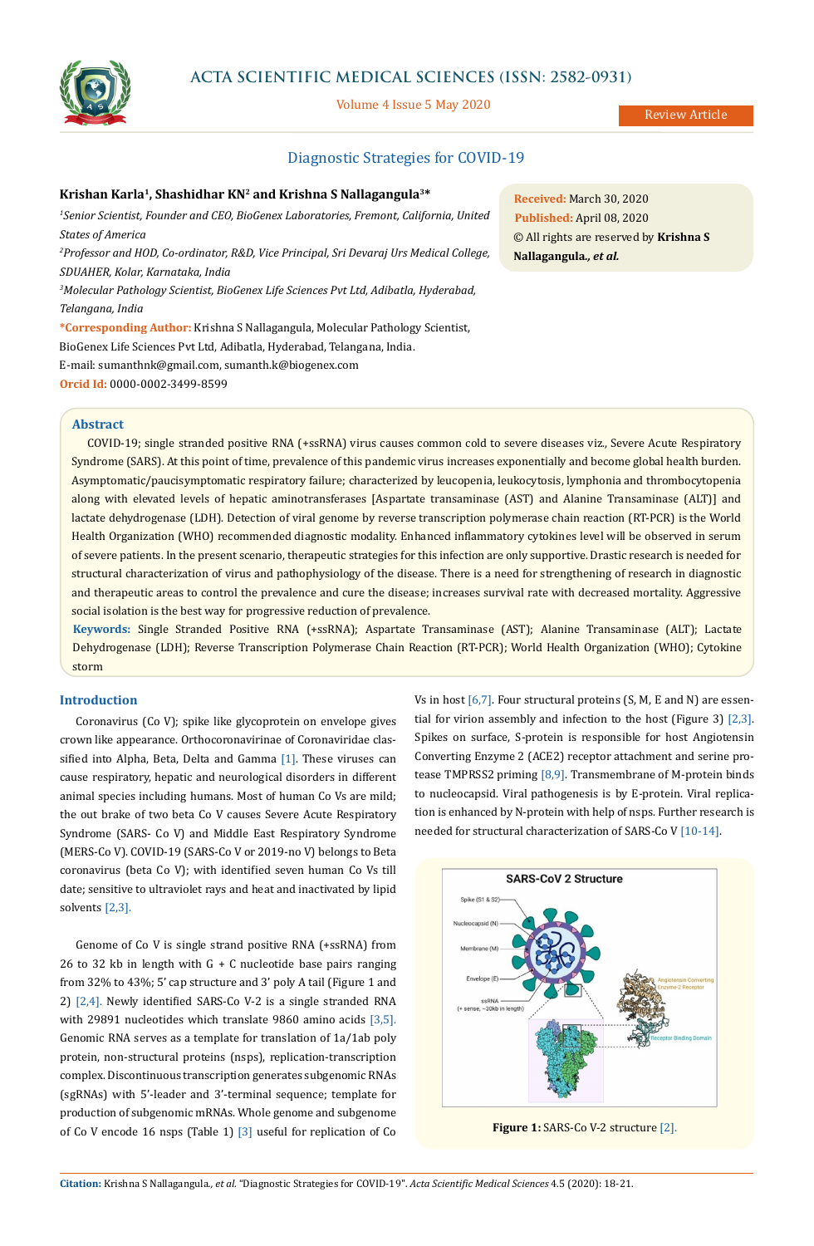

# **ACTA SCIENTIFIC MEDICAL SCIENCES (ISSN: 2582-0931)**

Volume 4 Issue 5 May 2020

Review Article

## Diagnostic Strategies for COVID-19

## **Krishan Karla1, Shashidhar KN2 and Krishna S Nallagangula3\***

*1 Senior Scientist, Founder and CEO, BioGenex Laboratories, Fremont, California, United States of America*

*2 Professor and HOD, Co-ordinator, R&D, Vice Principal, Sri Devaraj Urs Medical College, SDUAHER, Kolar, Karnataka, India*

*3 Molecular Pathology Scientist, BioGenex Life Sciences Pvt Ltd, Adibatla, Hyderabad, Telangana, India*

**\*Corresponding Author:** Krishna S Nallagangula, Molecular Pathology Scientist, BioGenex Life Sciences Pvt Ltd, Adibatla, Hyderabad, Telangana, India. E-mail: [sumanthnk@gmail.com](mailto:sumanthnk%40gmail.com?subject=), [sumanth.k@biogenex.com](mailto:sumanth.k%40biogenex.com?subject=) **Orcid Id:** 0000-0002-3499-8599

**Received:** March 30, 2020 **Published:** April 08, 2020 © All rights are reserved by **Krishna S Nallagangula***., et al.*

## **Abstract**

COVID-19; single stranded positive RNA (+ssRNA) virus causes common cold to severe diseases viz., Severe Acute Respiratory Syndrome (SARS). At this point of time, prevalence of this pandemic virus increases exponentially and become global health burden. Asymptomatic/paucisymptomatic respiratory failure; characterized by leucopenia, leukocytosis, lymphonia and thrombocytopenia along with elevated levels of hepatic aminotransferases [Aspartate transaminase (AST) and Alanine Transaminase (ALT)] and lactate dehydrogenase (LDH). Detection of viral genome by reverse transcription polymerase chain reaction (RT-PCR) is the World Health Organization (WHO) recommended diagnostic modality. Enhanced inflammatory cytokines level will be observed in serum of severe patients. In the present scenario, therapeutic strategies for this infection are only supportive. Drastic research is needed for structural characterization of virus and pathophysiology of the disease. There is a need for strengthening of research in diagnostic and therapeutic areas to control the prevalence and cure the disease; increases survival rate with decreased mortality. Aggressive social isolation is the best way for progressive reduction of prevalence.

**Keywords:** Single Stranded Positive RNA (+ssRNA); Aspartate Transaminase (AST); Alanine Transaminase (ALT); Lactate Dehydrogenase (LDH); Reverse Transcription Polymerase Chain Reaction (RT-PCR); World Health Organization (WHO); Cytokine storm

## **Introduction**

Coronavirus (Co V); spike like glycoprotein on envelope gives crown like appearance. Orthocoronavirinae of Coronaviridae classified into Alpha, Beta, Delta and Gamma [1]. These viruses can cause respiratory, hepatic and neurological disorders in different animal species including humans. Most of human Co Vs are mild; the out brake of two beta Co V causes Severe Acute Respiratory Syndrome (SARS- Co V) and Middle East Respiratory Syndrome (MERS-Co V). COVID-19 (SARS-Co V or 2019-no V) belongs to Beta coronavirus (beta Co V); with identified seven human Co Vs till date; sensitive to ultraviolet rays and heat and inactivated by lipid solvents [2,3].

Genome of Co V is single strand positive RNA (+ssRNA) from 26 to 32 kb in length with  $G + C$  nucleotide base pairs ranging from 32% to 43%; 5' cap structure and 3' poly A tail (Figure 1 and 2) [2,4]. Newly identified SARS-Co V-2 is a single stranded RNA with 29891 nucleotides which translate 9860 amino acids [3,5]. Genomic RNA serves as a template for translation of 1a/1ab poly protein, non-structural proteins (nsps), replication-transcription complex. Discontinuous transcription generates subgenomic RNAs (sgRNAs) with 5'-leader and 3'-terminal sequence; template for production of subgenomic mRNAs. Whole genome and subgenome of Co V encode 16 nsps (Table 1) [3] useful for replication of Co Vs in host  $[6,7]$ . Four structural proteins  $(S, M, E \text{ and } N)$  are essential for virion assembly and infection to the host (Figure 3) [2,3]. Spikes on surface, S-protein is responsible for host Angiotensin Converting Enzyme 2 (ACE2) receptor attachment and serine protease TMPRSS2 priming [8,9]. Transmembrane of M-protein binds to nucleocapsid. Viral pathogenesis is by E-protein. Viral replication is enhanced by N-protein with help of nsps. Further research is needed for structural characterization of SARS-Co V [10-14].



**Figure 1:** SARS-Co V-2 structure [2].

**Citation:** Krishna S Nallagangula*., et al.* "Diagnostic Strategies for COVID-19". *Acta Scientific Medical Sciences* 4.5 (2020): 18-21.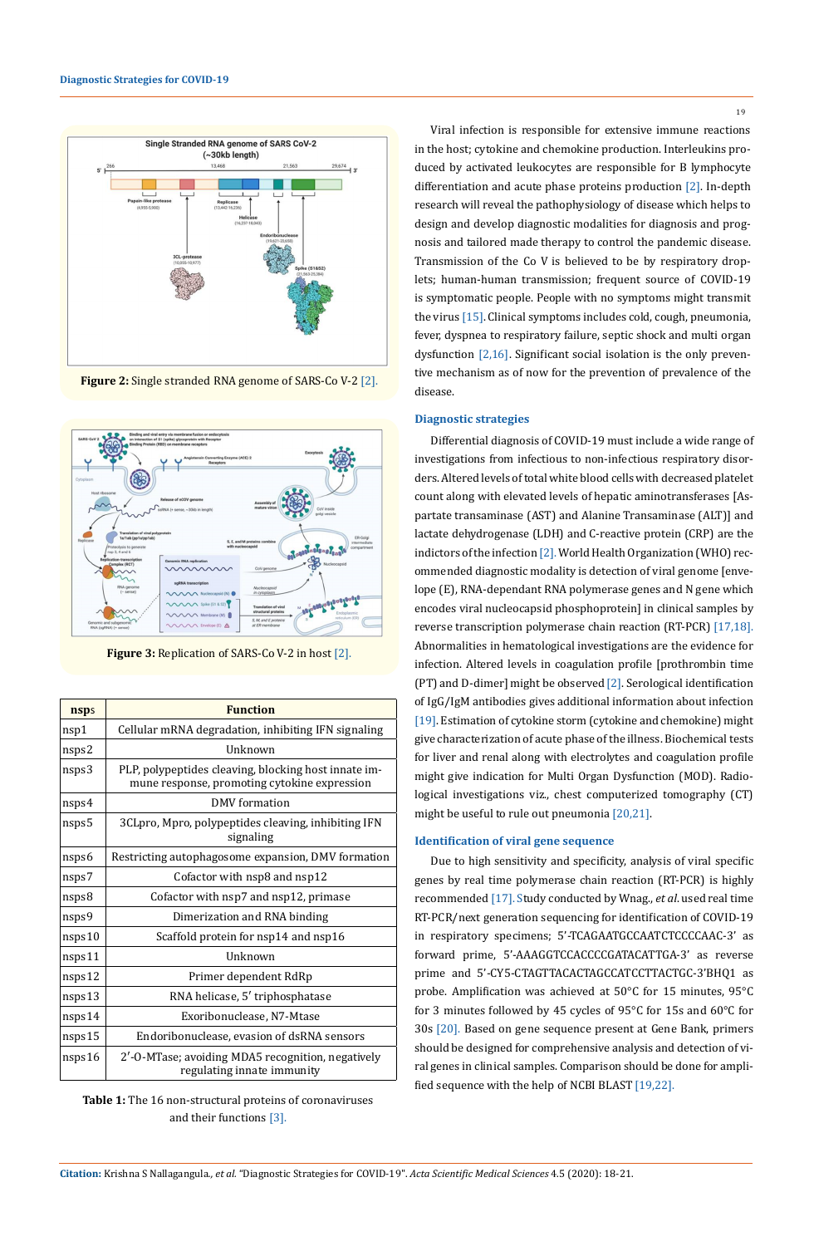

**Figure 2:** Single stranded RNA genome of SARS-Co V-2 [2].



**Figure 3:** Replication of SARS-Co V-2 in host [2].

| nsps   | <b>Function</b>                                                                                      |
|--------|------------------------------------------------------------------------------------------------------|
|        |                                                                                                      |
| nsp1   | Cellular mRNA degradation, inhibiting IFN signaling                                                  |
| nsps2  | <b>IInknown</b>                                                                                      |
| nsps3  | PLP, polypeptides cleaving, blocking host innate im-<br>mune response, promoting cytokine expression |
| nsps4  | DMV formation                                                                                        |
| nsps5  | 3CLpro, Mpro, polypeptides cleaving, inhibiting IFN<br>signaling                                     |
| nsps6  | Restricting autophagosome expansion, DMV formation                                                   |
| nsps7  | Cofactor with nsp8 and nsp12                                                                         |
| nsps8  | Cofactor with nsp7 and nsp12, primase                                                                |
| nsps9  | Dimerization and RNA binding                                                                         |
| nsps10 | Scaffold protein for nsp14 and nsp16                                                                 |
| nsps11 | Unknown                                                                                              |
| nsps12 | Primer dependent RdRp                                                                                |
| nsps13 | RNA helicase, 5' triphosphatase                                                                      |
| nsps14 | Exoribonuclease, N7-Mtase                                                                            |
| nsps15 | Endoribonuclease, evasion of dsRNA sensors                                                           |
| nsps16 | 2'-0-MTase; avoiding MDA5 recognition, negatively<br>regulating innate immunity                      |

**Table 1:** The 16 non-structural proteins of coronaviruses and their functions [3].

Viral infection is responsible for extensive immune reactions in the host; cytokine and chemokine production. Interleukins produced by activated leukocytes are responsible for B lymphocyte differentiation and acute phase proteins production [2]. In-depth research will reveal the pathophysiology of disease which helps to design and develop diagnostic modalities for diagnosis and prognosis and tailored made therapy to control the pandemic disease. Transmission of the Co V is believed to be by respiratory droplets; human-human transmission; frequent source of COVID-19 is symptomatic people. People with no symptoms might transmit the virus [15]. Clinical symptoms includes cold, cough, pneumonia, fever, dyspnea to respiratory failure, septic shock and multi organ dysfunction [2,16]. Significant social isolation is the only preventive mechanism as of now for the prevention of prevalence of the disease.

## **Diagnostic strategies**

Differential diagnosis of COVID-19 must include a wide range of investigations from infectious to non-infectious respiratory disorders. Altered levels of total white blood cells with decreased platelet count along with elevated levels of hepatic aminotransferases [Aspartate transaminase (AST) and Alanine Transaminase (ALT)] and lactate dehydrogenase (LDH) and C-reactive protein (CRP) are the indictors of the infection [2]. World Health Organization (WHO) recommended diagnostic modality is detection of viral genome [envelope (E), RNA-dependant RNA polymerase genes and N gene which encodes viral nucleocapsid phosphoprotein] in clinical samples by reverse transcription polymerase chain reaction (RT-PCR) [17,18]. Abnormalities in hematological investigations are the evidence for infection. Altered levels in coagulation profile [prothrombin time (PT) and D-dimer] might be observed [2]. Serological identification of IgG/IgM antibodies gives additional information about infection [19]. Estimation of cytokine storm (cytokine and chemokine) might give characterization of acute phase of the illness. Biochemical tests for liver and renal along with electrolytes and coagulation profile might give indication for Multi Organ Dysfunction (MOD). Radiological investigations viz., chest computerized tomography (CT) might be useful to rule out pneumonia [20,21].

## **Identification of viral gene sequence**

Due to high sensitivity and specificity, analysis of viral specific genes by real time polymerase chain reaction (RT-PCR) is highly recommended [17]. Study conducted by Wnag., *et al*. used real time RT-PCR/next generation sequencing for identification of COVID-19 in respiratory specimens; 5'-TCAGAATGCCAATCTCCCCAAC-3' as forward prime, 5'-AAAGGTCCACCCCGATACATTGA-3' as reverse prime and 5'-CY5-CTAGTTACACTAGCCATCCTTACTGC-3'BHQ1 as probe. Amplification was achieved at 50°C for 15 minutes, 95°C for 3 minutes followed by 45 cycles of 95°C for 15s and 60°C for 30s [20]. Based on gene sequence present at Gene Bank, primers should be designed for comprehensive analysis and detection of viral genes in clinical samples. Comparison should be done for amplified sequence with the help of NCBI BLAST [19,22].

19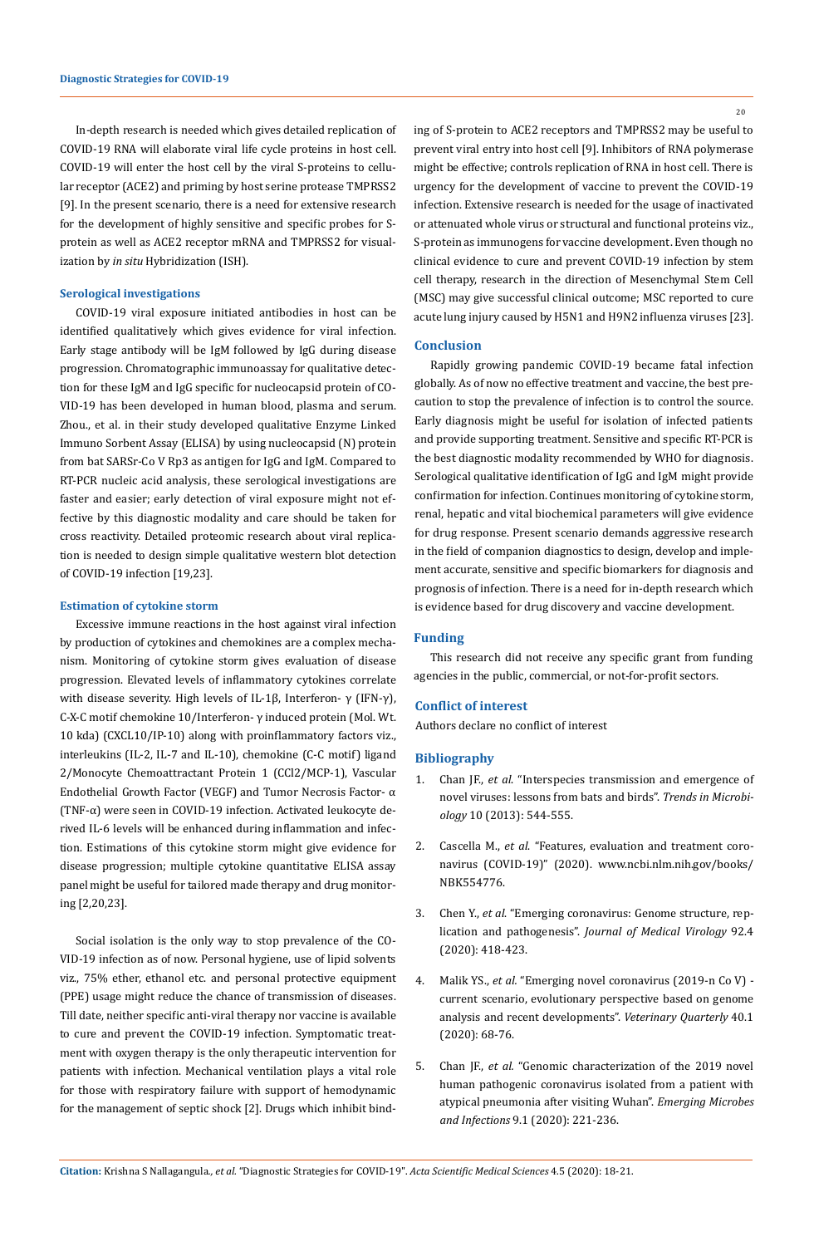In-depth research is needed which gives detailed replication of COVID-19 RNA will elaborate viral life cycle proteins in host cell. COVID-19 will enter the host cell by the viral S-proteins to cellular receptor (ACE2) and priming by host serine protease TMPRSS2 [9]. In the present scenario, there is a need for extensive research for the development of highly sensitive and specific probes for Sprotein as well as ACE2 receptor mRNA and TMPRSS2 for visualization by *in situ* Hybridization (ISH).

#### **Serological investigations**

COVID-19 viral exposure initiated antibodies in host can be identified qualitatively which gives evidence for viral infection. Early stage antibody will be IgM followed by IgG during disease progression. Chromatographic immunoassay for qualitative detection for these IgM and IgG specific for nucleocapsid protein of CO-VID-19 has been developed in human blood, plasma and serum. Zhou., et al. in their study developed qualitative Enzyme Linked Immuno Sorbent Assay (ELISA) by using nucleocapsid (N) protein from bat SARSr-Co V Rp3 as antigen for IgG and IgM. Compared to RT-PCR nucleic acid analysis, these serological investigations are faster and easier; early detection of viral exposure might not effective by this diagnostic modality and care should be taken for cross reactivity. Detailed proteomic research about viral replication is needed to design simple qualitative western blot detection of COVID-19 infection [19,23].

#### **Estimation of cytokine storm**

Excessive immune reactions in the host against viral infection by production of cytokines and chemokines are a complex mechanism. Monitoring of cytokine storm gives evaluation of disease progression. Elevated levels of inflammatory cytokines correlate with disease severity. High levels of IL-1β, Interferon- γ (IFN-γ), C-X-C motif chemokine 10/Interferon- γ induced protein (Mol. Wt. 10 kda) (CXCL10/IP-10) along with proinflammatory factors viz., interleukins (IL-2, IL-7 and IL-10), chemokine (C-C motif) ligand 2/Monocyte Chemoattractant Protein 1 (CCl2/MCP-1), Vascular Endothelial Growth Factor (VEGF) and Tumor Necrosis Factor- α (TNF-α) were seen in COVID-19 infection. Activated leukocyte derived IL-6 levels will be enhanced during inflammation and infection. Estimations of this cytokine storm might give evidence for disease progression; multiple cytokine quantitative ELISA assay panel might be useful for tailored made therapy and drug monitoring [2,20,23].

Social isolation is the only way to stop prevalence of the CO-VID-19 infection as of now. Personal hygiene, use of lipid solvents viz., 75% ether, ethanol etc. and personal protective equipment (PPE) usage might reduce the chance of transmission of diseases. Till date, neither specific anti-viral therapy nor vaccine is available to cure and prevent the COVID-19 infection. Symptomatic treatment with oxygen therapy is the only therapeutic intervention for patients with infection. Mechanical ventilation plays a vital role for those with respiratory failure with support of hemodynamic for the management of septic shock [2]. Drugs which inhibit bind-

ing of S-protein to ACE2 receptors and TMPRSS2 may be useful to prevent viral entry into host cell [9]. Inhibitors of RNA polymerase might be effective; controls replication of RNA in host cell. There is urgency for the development of vaccine to prevent the COVID-19 infection. Extensive research is needed for the usage of inactivated or attenuated whole virus or structural and functional proteins viz., S-protein as immunogens for vaccine development. Even though no clinical evidence to cure and prevent COVID-19 infection by stem cell therapy, research in the direction of Mesenchymal Stem Cell (MSC) may give successful clinical outcome; MSC reported to cure acute lung injury caused by H5N1 and H9N2 influenza viruses [23].

## **Conclusion**

Rapidly growing pandemic COVID-19 became fatal infection globally. As of now no effective treatment and vaccine, the best precaution to stop the prevalence of infection is to control the source. Early diagnosis might be useful for isolation of infected patients and provide supporting treatment. Sensitive and specific RT-PCR is the best diagnostic modality recommended by WHO for diagnosis. Serological qualitative identification of IgG and IgM might provide confirmation for infection. Continues monitoring of cytokine storm, renal, hepatic and vital biochemical parameters will give evidence for drug response. Present scenario demands aggressive research in the field of companion diagnostics to design, develop and implement accurate, sensitive and specific biomarkers for diagnosis and prognosis of infection. There is a need for in-depth research which is evidence based for drug discovery and vaccine development.

#### **Funding**

This research did not receive any specific grant from funding agencies in the public, commercial, or not-for-profit sectors.

#### **Conflict of interest**

Authors declare no conflict of interest

#### **Bibliography**

- 1. Chan JF., *et al*[. "Interspecies transmission and emergence of](https://www.ncbi.nlm.nih.gov/pubmed/23770275) [novel viruses: lessons from bats and birds".](https://www.ncbi.nlm.nih.gov/pubmed/23770275) *Trends in Microbiology* [10 \(2013\): 544-555.](https://www.ncbi.nlm.nih.gov/pubmed/23770275)
- 2. Cascella M., *et al*[. "Features, evaluation and treatment coro](http://www.ncbi.nlm.nih.gov/books/NBK554776)[navirus \(COVID-19\)" \(2020\). www.ncbi.nlm.nih.gov/books/](http://www.ncbi.nlm.nih.gov/books/NBK554776) [NBK554776.](http://www.ncbi.nlm.nih.gov/books/NBK554776)
- 3. Chen Y., *et al*[. "Emerging coronavirus: Genome structure, rep](https://onlinelibrary.wiley.com/doi/10.1002/jmv.25681)lication and pathogenesis". *[Journal of Medical Virology](https://onlinelibrary.wiley.com/doi/10.1002/jmv.25681)* 92.4 [\(2020\): 418-423.](https://onlinelibrary.wiley.com/doi/10.1002/jmv.25681)
- 4. Malik YS., *et al.* ["Emerging novel coronavirus \(2019-n Co V\)](https://www.ncbi.nlm.nih.gov/pubmed/32036774)  [current scenario, evolutionary perspective based on genome](https://www.ncbi.nlm.nih.gov/pubmed/32036774) [analysis and recent developments".](https://www.ncbi.nlm.nih.gov/pubmed/32036774) *Veterinary Quarterly* 40.1 [\(2020\): 68-76.](https://www.ncbi.nlm.nih.gov/pubmed/32036774)
- 5. Chan JF., *et al.* ["Genomic characterization of the 2019 novel](https://www.ncbi.nlm.nih.gov/pubmed/31987001) [human pathogenic coronavirus isolated from a patient with](https://www.ncbi.nlm.nih.gov/pubmed/31987001) [atypical pneumonia after visiting Wuhan".](https://www.ncbi.nlm.nih.gov/pubmed/31987001) *Emerging Microbes and Infections* [9.1 \(2020\): 221-236.](https://www.ncbi.nlm.nih.gov/pubmed/31987001)